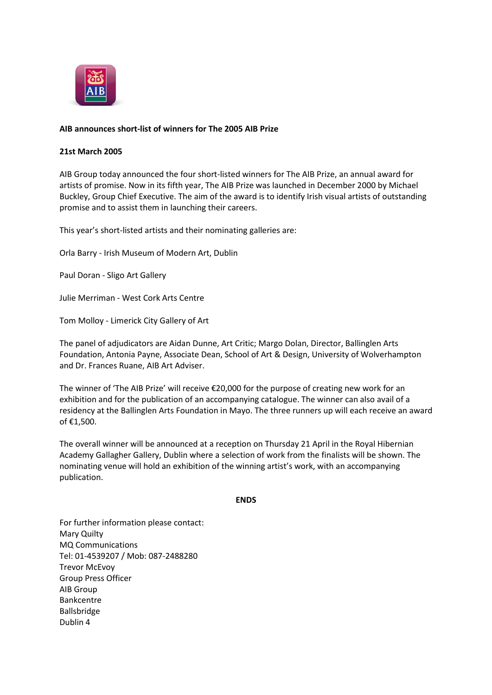

## **AIB announces short-list of winners for The 2005 AIB Prize**

## **21st March 2005**

AIB Group today announced the four short-listed winners for The AIB Prize, an annual award for artists of promise. Now in its fifth year, The AIB Prize was launched in December 2000 by Michael Buckley, Group Chief Executive. The aim of the award is to identify Irish visual artists of outstanding promise and to assist them in launching their careers.

This year's short-listed artists and their nominating galleries are:

Orla Barry - Irish Museum of Modern Art, Dublin

Paul Doran - Sligo Art Gallery

Julie Merriman - West Cork Arts Centre

Tom Molloy - Limerick City Gallery of Art

The panel of adjudicators are Aidan Dunne, Art Critic; Margo Dolan, Director, Ballinglen Arts Foundation, Antonia Payne, Associate Dean, School of Art & Design, University of Wolverhampton and Dr. Frances Ruane, AIB Art Adviser.

The winner of 'The AIB Prize' will receive €20,000 for the purpose of creating new work for an exhibition and for the publication of an accompanying catalogue. The winner can also avail of a residency at the Ballinglen Arts Foundation in Mayo. The three runners up will each receive an award of €1,500.

The overall winner will be announced at a reception on Thursday 21 April in the Royal Hibernian Academy Gallagher Gallery, Dublin where a selection of work from the finalists will be shown. The nominating venue will hold an exhibition of the winning artist's work, with an accompanying publication.

## **ENDS**

For further information please contact: Mary Quilty MQ Communications Tel: 01-4539207 / Mob: 087-2488280 Trevor McEvoy Group Press Officer AIB Group Bankcentre Ballsbridge Dublin 4